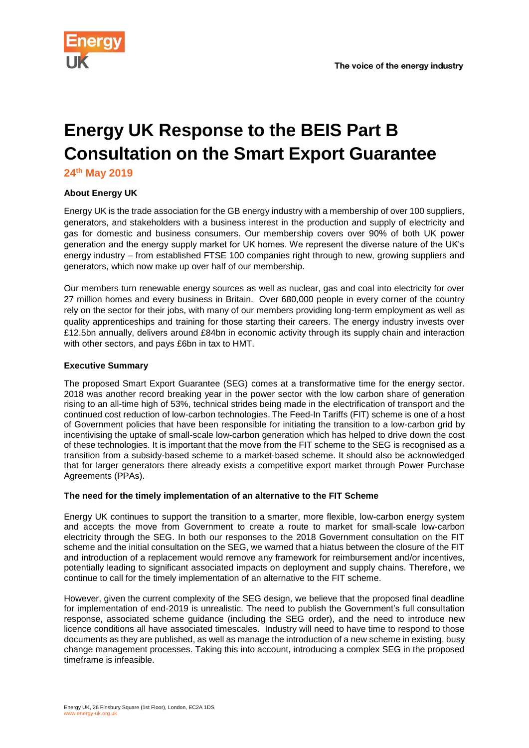

# **Energy UK Response to the BEIS Part B Consultation on the Smart Export Guarantee**

**24th May 2019**

# **About Energy UK**

Energy UK is the trade association for the GB energy industry with a membership of over 100 suppliers, generators, and stakeholders with a business interest in the production and supply of electricity and gas for domestic and business consumers. Our membership covers over 90% of both UK power generation and the energy supply market for UK homes. We represent the diverse nature of the UK's energy industry – from established FTSE 100 companies right through to new, growing suppliers and generators, which now make up over half of our membership.

Our members turn renewable energy sources as well as nuclear, gas and coal into electricity for over 27 million homes and every business in Britain. Over 680,000 people in every corner of the country rely on the sector for their jobs, with many of our members providing long-term employment as well as quality apprenticeships and training for those starting their careers. The energy industry invests over £12.5bn annually, delivers around £84bn in economic activity through its supply chain and interaction with other sectors, and pays £6bn in tax to HMT.

## **Executive Summary**

The proposed Smart Export Guarantee (SEG) comes at a transformative time for the energy sector. 2018 was another record breaking year in the power sector with the low carbon share of generation rising to an all-time high of 53%, technical strides being made in the electrification of transport and the continued cost reduction of low-carbon technologies. The Feed-In Tariffs (FIT) scheme is one of a host of Government policies that have been responsible for initiating the transition to a low-carbon grid by incentivising the uptake of small-scale low-carbon generation which has helped to drive down the cost of these technologies. It is important that the move from the FIT scheme to the SEG is recognised as a transition from a subsidy-based scheme to a market-based scheme. It should also be acknowledged that for larger generators there already exists a competitive export market through Power Purchase Agreements (PPAs).

## **The need for the timely implementation of an alternative to the FIT Scheme**

Energy UK continues to support the transition to a smarter, more flexible, low-carbon energy system and accepts the move from Government to create a route to market for small-scale low-carbon electricity through the SEG. In both our responses to the 2018 Government consultation on the FIT scheme and the initial consultation on the SEG, we warned that a hiatus between the closure of the FIT and introduction of a replacement would remove any framework for reimbursement and/or incentives, potentially leading to significant associated impacts on deployment and supply chains. Therefore, we continue to call for the timely implementation of an alternative to the FIT scheme.

However, given the current complexity of the SEG design, we believe that the proposed final deadline for implementation of end-2019 is unrealistic. The need to publish the Government's full consultation response, associated scheme guidance (including the SEG order), and the need to introduce new licence conditions all have associated timescales. Industry will need to have time to respond to those documents as they are published, as well as manage the introduction of a new scheme in existing, busy change management processes. Taking this into account, introducing a complex SEG in the proposed timeframe is infeasible.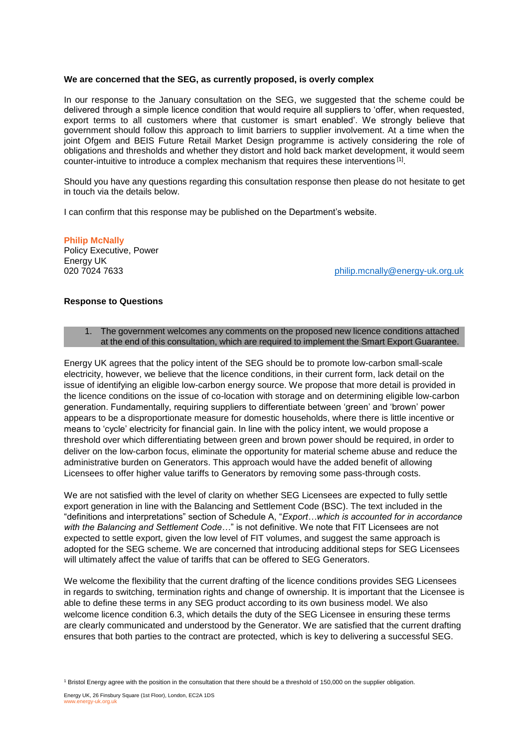#### **We are concerned that the SEG, as currently proposed, is overly complex**

In our response to the January consultation on the SEG, we suggested that the scheme could be delivered through a simple licence condition that would require all suppliers to 'offer, when requested, export terms to all customers where that customer is smart enabled'. We strongly believe that government should follow this approach to limit barriers to supplier involvement. At a time when the joint Ofgem and BEIS Future Retail Market Design programme is actively considering the role of obligations and thresholds and whether they distort and hold back market development, it would seem counter-intuitive to introduce a complex mechanism that requires these interventions [1].

Should you have any questions regarding this consultation response then please do not hesitate to get in touch via the details below.

I can confirm that this response may be published on the Department's website.

#### **Philip McNally**

Policy Executive, Power Energy UK

020 7024 7633 [philip.mcnally@energy-uk.org.uk](mailto:philip.mcnally@energy-uk.org.uk)

## **Response to Questions**

1. The government welcomes any comments on the proposed new licence conditions attached at the end of this consultation, which are required to implement the Smart Export Guarantee.

Energy UK agrees that the policy intent of the SEG should be to promote low-carbon small-scale electricity, however, we believe that the licence conditions, in their current form, lack detail on the issue of identifying an eligible low-carbon energy source. We propose that more detail is provided in the licence conditions on the issue of co-location with storage and on determining eligible low-carbon generation. Fundamentally, requiring suppliers to differentiate between 'green' and 'brown' power appears to be a disproportionate measure for domestic households, where there is little incentive or means to 'cycle' electricity for financial gain. In line with the policy intent, we would propose a threshold over which differentiating between green and brown power should be required, in order to deliver on the low-carbon focus, eliminate the opportunity for material scheme abuse and reduce the administrative burden on Generators. This approach would have the added benefit of allowing Licensees to offer higher value tariffs to Generators by removing some pass-through costs.

We are not satisfied with the level of clarity on whether SEG Licensees are expected to fully settle export generation in line with the Balancing and Settlement Code (BSC). The text included in the "definitions and interpretations" section of Schedule A, "*Export…which is accounted for in accordance with the Balancing and Settlement Code…*" is not definitive. We note that FIT Licensees are not expected to settle export, given the low level of FIT volumes, and suggest the same approach is adopted for the SEG scheme. We are concerned that introducing additional steps for SEG Licensees will ultimately affect the value of tariffs that can be offered to SEG Generators.

We welcome the flexibility that the current drafting of the licence conditions provides SEG Licensees in regards to switching, termination rights and change of ownership. It is important that the Licensee is able to define these terms in any SEG product according to its own business model. We also welcome licence condition 6.3, which details the duty of the SEG Licensee in ensuring these terms are clearly communicated and understood by the Generator. We are satisfied that the current drafting ensures that both parties to the contract are protected, which is key to delivering a successful SEG.

<sup>1</sup> Bristol Energy agree with the position in the consultation that there should be a threshold of 150,000 on the supplier obligation.